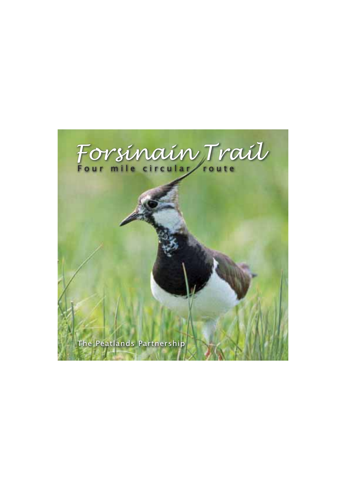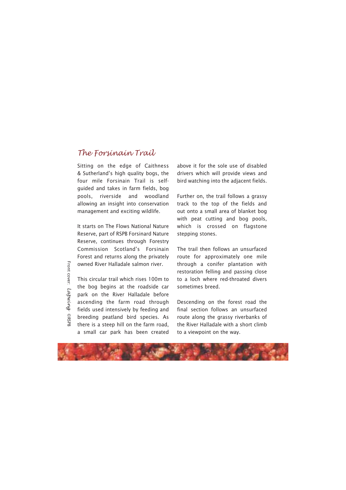### *The Forsinain Trail*

Sitting on the edge of Caithness & Sutherland's high quality bogs, the four mile Forsinain Trail is selfguided and takes in farm fields, bog pools, riverside and woodland allowing an insight into conservation management and exciting wildlife.

It starts on The Flows National Nature Reserve, part of RSPB Forsinard Nature Reserve, continues through Forestry Commission Scotland's Forsinain Forest and returns along the privately owned River Halladale salmon river.

Front cover: *Lapwing*

©RSPB

This circular trail which rises 100m to the bog begins at the roadside car park on the River Halladale before ascending the farm road through fields used intensively by feeding and breeding peatland bird species. As there is a steep hill on the farm road, a small car park has been created above it for the sole use of disabled drivers which will provide views and bird watching into the adjacent fields.

Further on, the trail follows a grassy track to the top of the fields and out onto a small area of blanket bog with peat cutting and bog pools, which is crossed on flagstone stepping stones.

The trail then follows an unsurfaced route for approximately one mile through a conifer plantation with restoration felling and passing close to a loch where red-throated divers sometimes breed.

Descending on the forest road the final section follows an unsurfaced route along the grassy riverbanks of the River Halladale with a short climb to a viewpoint on the way.

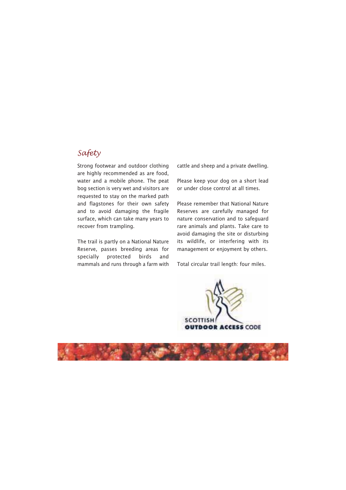# *Safety*

Strong footwear and outdoor clothing are highly recommended as are food, water and a mobile phone. The peat bog section is very wet and visitors are requested to stay on the marked path and flagstones for their own safety and to avoid damaging the fragile surface, which can take many years to recover from trampling.

The trail is partly on a National Nature Reserve, passes breeding areas for specially protected birds and mammals and runs through a farm with cattle and sheep and a private dwelling.

Please keep your dog on a short lead or under close control at all times.

Please remember that National Nature Reserves are carefully managed for nature conservation and to safeguard rare animals and plants. Take care to avoid damaging the site or disturbing its wildlife, or interfering with its management or enjoyment by others.

Total circular trail length: four miles.



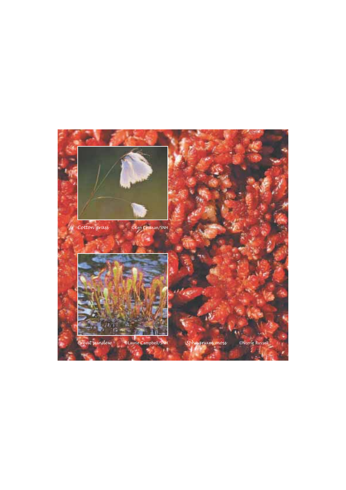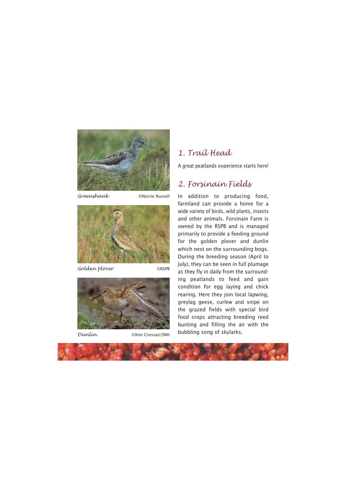

*Greenshank* ©Norrie Russell



*Golden plover* ©RSPB



*Dunlin* ©Ken Crossan/SNH

# *1. Trail Head*

A great peatlands experience starts here!

#### *2. Forsinain Fields*

In addition to producing food, farmland can provide a home for a wide variety of birds, wild plants, insects and other animals. Forsinain Farm is owned by the RSPB and is managed primarily to provide a feeding ground for the golden plover and dunlin which nest on the surrounding bogs. During the breeding season (April to July), they can be seen in full plumage as they fly in daily from the surrounding peatlands to feed and gain condition for egg laying and chick rearing. Here they join local lapwing, greylag geese, curlew and snipe on the grazed fields with special bird food crops attracting breeding reed bunting and filling the air with the bubbling song of skylarks.

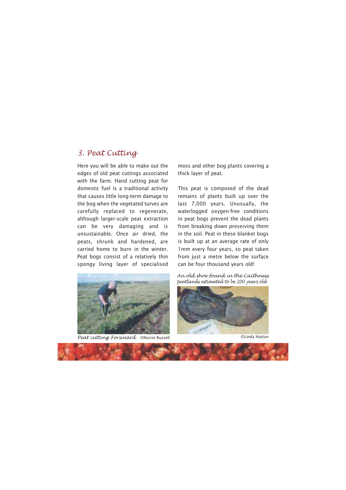## *3. Peat Cutting*

Here you will be able to make out the edges of old peat cuttings associated with the farm. Hand cutting peat for domestic fuel is a traditional activity that causes little long-term damage to the bog when the vegetated turves are carefully replaced to regenerate, although larger-scale peat extraction can be very damaging and is unsustainable. Once air dried, the peats, shrunk and hardened, are carried home to burn in the winter. Peat bogs consist of a relatively thin spongy living layer of specialised

moss and other bog plants covering a thick layer of peat.

This peat is composed of the dead remains of plants built up over the last 7,000 years. Unusually, the waterlogged oxygen-free conditions in peat bogs prevent the dead plants from breaking down preserving them in the soil. Peat in these blanket bogs is built up at an average rate of only 1mm every four years, so peat taken from just a metre below the surface can be four thousand years old!



Peat cutting-Forsinard ©Norrie Russell **CLING COMMENT** © CLinda Hutton

*An old shoe found in the Caithness peatlands estimated to be 200 years old*



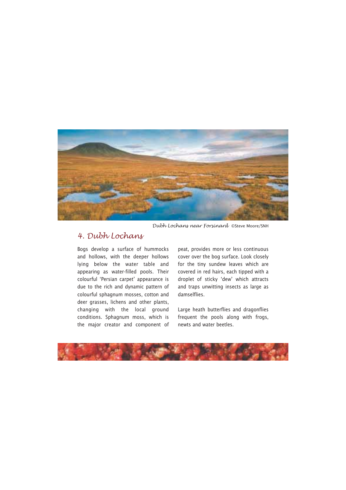

*Dubh Lochans near Forsinard* ©Steve Moore/SNH

# *4. Dubh Lochans*

Bogs develop a surface of hummocks and hollows, with the deeper hollows lying below the water table and appearing as water-filled pools. Their colourful 'Persian carpet' appearance is due to the rich and dynamic pattern of colourful sphagnum mosses, cotton and deer grasses, lichens and other plants, changing with the local ground conditions. Sphagnum moss, which is the major creator and component of

peat, provides more or less continuous cover over the bog surface. Look closely for the tiny sundew leaves which are covered in red hairs, each tipped with a droplet of sticky 'dew' which attracts and traps unwitting insects as large as damselflies.

Large heath butterflies and dragonflies frequent the pools along with frogs, newts and water beetles.

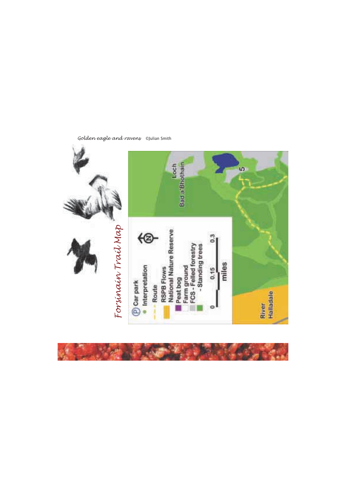



*Golden eagle and ravens* ©Julian Smith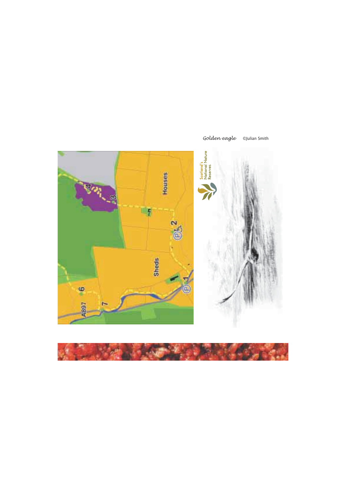

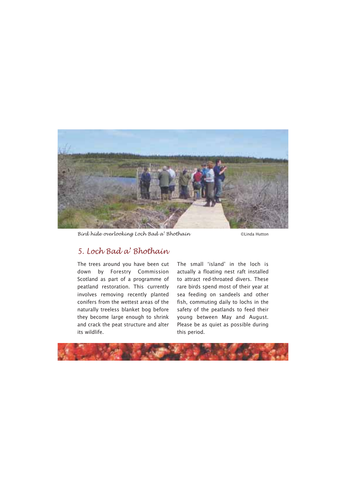

*Bird hide overlooking Loch Bad a' Bhothain* ©Linda Hutton

# *5. Loch Bad a' Bhothain*

The trees around you have been cut down by Forestry Commission Scotland as part of a programme of peatland restoration. This currently involves removing recently planted conifers from the wettest areas of the naturally treeless blanket bog before they become large enough to shrink and crack the peat structure and alter its wildlife.

The small 'island' in the loch is actually a floating nest raft installed to attract red-throated divers. These rare birds spend most of their year at sea feeding on sandeels and other fish, commuting daily to lochs in the safety of the peatlands to feed their young between May and August. Please be as quiet as possible during this period.

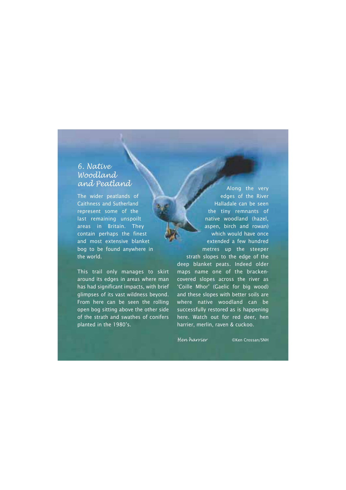### *6. Native Woodland and Peatland*

The wider peatlands of Caithness and Sutherland represent some of the last remaining unspoilt areas in Britain. They contain perhaps the finest and most extensive blanket bog to be found anywhere in the world.

This trail only manages to skirt around its edges in areas where man has had significant impacts, with brief glimpses of its vast wildness beyond. From here can be seen the rolling open bog sitting above the other side of the strath and swathes of conifers planted in the 1980's.

Along the very edges of the River Halladale can be seen the tiny remnants of native woodland (hazel, aspen, birch and rowan) which would have once extended a few hundred metres up the steeper strath slopes to the edge of the

deep blanket peats. Indeed older maps name one of the brackencovered slopes across the river as 'Coille Mhor' (Gaelic for big wood) and these slopes with better soils are where native woodland can be successfully restored as is happening here. Watch out for red deer, hen harrier, merlin, raven & cuckoo.

*Hen harrier* ©Ken Crossan/SNH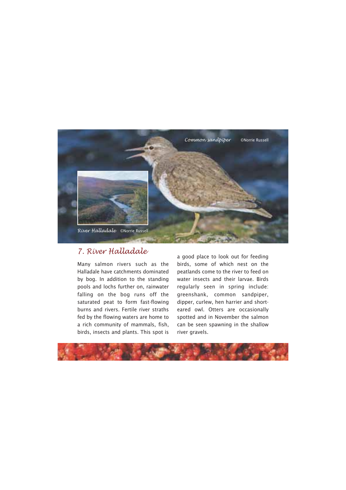

### *7. River Halladale*

Many salmon rivers such as the Halladale have catchments dominated by bog. In addition to the standing pools and lochs further on, rainwater falling on the bog runs off the saturated peat to form fast-flowing burns and rivers. Fertile river straths fed by the flowing waters are home to a rich community of mammals, fish, birds, insects and plants. This spot is

a good place to look out for feeding birds, some of which nest on the peatlands come to the river to feed on water insects and their larvae. Birds regularly seen in spring include: greenshank, common sandpiper, dipper, curlew, hen harrier and shorteared owl. Otters are occasionally spotted and in November the salmon can be seen spawning in the shallow river gravels.

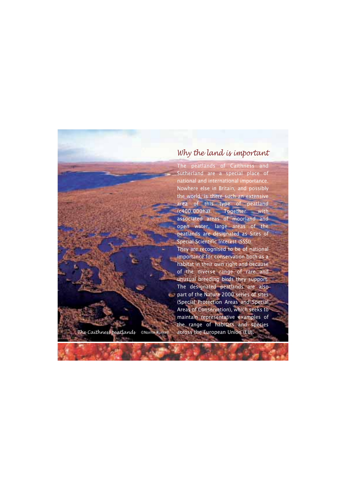# *Why the land is important*

The peatlands of Caithness and Sutherland are a special place of national and international importance. Nowhere else in Britain, and possibly the world, is there such an extensive area of this type of peatland (c400,000ha). Together with associated areas of moorland and open water, large areas of the peatlands are designated as Sites of Special Scientific Interest (SSSI). They are recognised to be of national importance for conservation both as a habitat in their own right and because of the diverse range of rare and unusual breeding birds they support. The designated peatlands are also **part of the Natura 2000 series of sites** (Special Protection Areas and Special Areas of Conservation), which seeks to maintain representative examples of the range of habitats and species *The Caithness peatlands* ©Norrie Russell across the European Union (EU).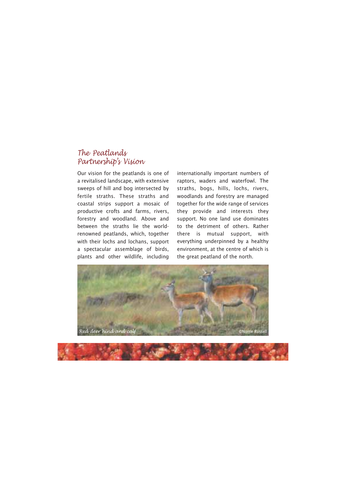## *The Peatlands Partnership's Vision*

Our vision for the peatlands is one of a revitalised landscape, with extensive sweeps of hill and bog intersected by fertile straths. These straths and coastal strips support a mosaic of productive crofts and farms, rivers, forestry and woodland. Above and between the straths lie the worldrenowned peatlands, which, together with their lochs and lochans, support a spectacular assemblage of birds, plants and other wildlife, including

internationally important numbers of raptors, waders and waterfowl. The straths, bogs, hills, lochs, rivers, woodlands and forestry are managed together for the wide range of services they provide and interests they support. No one land use dominates to the detriment of others. Rather there is mutual support, with everything underpinned by a healthy environment, at the centre of which is the great peatland of the north.

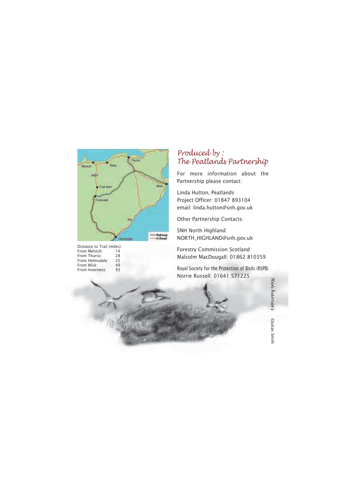

Distance to Trail (miles) From Melvich: 14 From Thurso: 28<br>From Helmsdale: 25<br>From Wick: 49 From Helmsdale: 25 From Wick: 49 From Inverness: 93

# *Produced by : The Peatlands Partnership*

For more information about the Partnership please contact:

Linda Hutton, Peatlands Project Officer: 01847 893104 email: linda.hutton@snh.gov.uk

Other Partnership Contacts:

SNH North Highland: NORTH\_HIGHLAND@snh.gov.uk

Forestry Commission Scotland Malcolm MacDougall: 01862 810359

Royal Society for the Protection of Birds (RSPB) Norrie Russell: 01641 571225



*Hen harriers*

©Julian Smith